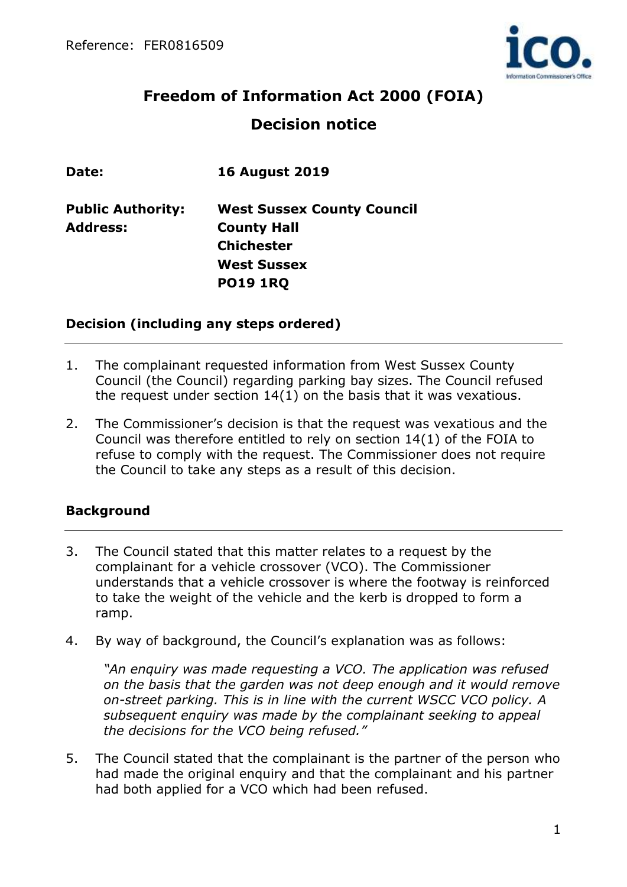

# **Freedom of Information Act 2000 (FOIA) Decision notice**

| Date:                    | <b>16 August 2019</b>             |
|--------------------------|-----------------------------------|
| <b>Public Authority:</b> | <b>West Sussex County Council</b> |
| <b>Address:</b>          | <b>County Hall</b>                |
|                          | <b>Chichester</b>                 |
|                          | <b>West Sussex</b>                |
|                          | <b>PO19 1RQ</b>                   |
|                          |                                   |

#### **Decision (including any steps ordered)**

- 1. The complainant requested information from West Sussex County Council (the Council) regarding parking bay sizes. The Council refused the request under section 14(1) on the basis that it was vexatious.
- 2. The Commissioner's decision is that the request was vexatious and the Council was therefore entitled to rely on section 14(1) of the FOIA to refuse to comply with the request. The Commissioner does not require the Council to take any steps as a result of this decision.

# **Background**

- 3. The Council stated that this matter relates to a request by the complainant for a vehicle crossover (VCO). The Commissioner understands that a vehicle crossover is where the footway is reinforced to take the weight of the vehicle and the kerb is dropped to form a ramp.
- 4. By way of background, the Council's explanation was as follows:

*"An enquiry was made requesting a VCO. The application was refused on the basis that the garden was not deep enough and it would remove on-street parking. This is in line with the current WSCC VCO policy. A subsequent enquiry was made by the complainant seeking to appeal the decisions for the VCO being refused."*

5. The Council stated that the complainant is the partner of the person who had made the original enquiry and that the complainant and his partner had both applied for a VCO which had been refused.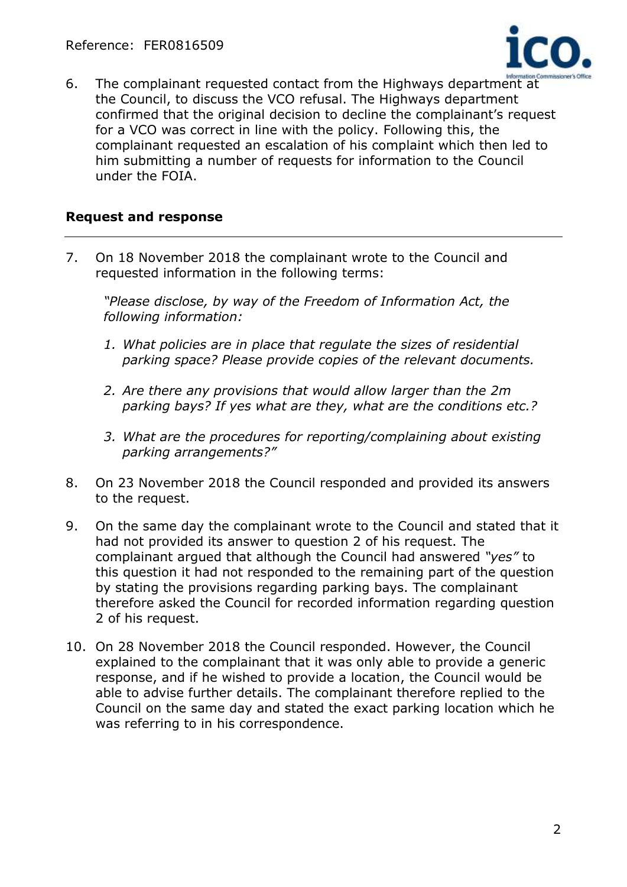

6. The complainant requested contact from the Highways department at the Council, to discuss the VCO refusal. The Highways department confirmed that the original decision to decline the complainant's request for a VCO was correct in line with the policy. Following this, the complainant requested an escalation of his complaint which then led to him submitting a number of requests for information to the Council under the FOIA.

## **Request and response**

7. On 18 November 2018 the complainant wrote to the Council and requested information in the following terms:

*"Please disclose, by way of the Freedom of Information Act, the following information:*

- *1. What policies are in place that regulate the sizes of residential parking space? Please provide copies of the relevant documents.*
- *2. Are there any provisions that would allow larger than the 2m parking bays? If yes what are they, what are the conditions etc.?*
- *3. What are the procedures for reporting/complaining about existing parking arrangements?"*
- 8. On 23 November 2018 the Council responded and provided its answers to the request.
- 9. On the same day the complainant wrote to the Council and stated that it had not provided its answer to question 2 of his request. The complainant argued that although the Council had answered *"yes"* to this question it had not responded to the remaining part of the question by stating the provisions regarding parking bays. The complainant therefore asked the Council for recorded information regarding question 2 of his request.
- 10. On 28 November 2018 the Council responded. However, the Council explained to the complainant that it was only able to provide a generic response, and if he wished to provide a location, the Council would be able to advise further details. The complainant therefore replied to the Council on the same day and stated the exact parking location which he was referring to in his correspondence.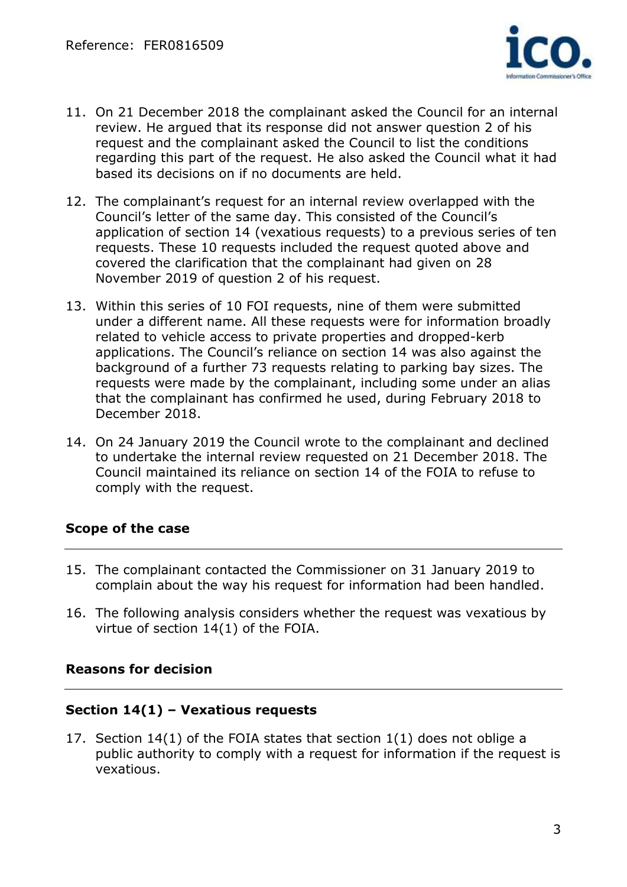

- 11. On 21 December 2018 the complainant asked the Council for an internal review. He argued that its response did not answer question 2 of his request and the complainant asked the Council to list the conditions regarding this part of the request. He also asked the Council what it had based its decisions on if no documents are held.
- 12. The complainant's request for an internal review overlapped with the Council's letter of the same day. This consisted of the Council's application of section 14 (vexatious requests) to a previous series of ten requests. These 10 requests included the request quoted above and covered the clarification that the complainant had given on 28 November 2019 of question 2 of his request.
- 13. Within this series of 10 FOI requests, nine of them were submitted under a different name. All these requests were for information broadly related to vehicle access to private properties and dropped-kerb applications. The Council's reliance on section 14 was also against the background of a further 73 requests relating to parking bay sizes. The requests were made by the complainant, including some under an alias that the complainant has confirmed he used, during February 2018 to December 2018.
- 14. On 24 January 2019 the Council wrote to the complainant and declined to undertake the internal review requested on 21 December 2018. The Council maintained its reliance on section 14 of the FOIA to refuse to comply with the request.

# **Scope of the case**

- 15. The complainant contacted the Commissioner on 31 January 2019 to complain about the way his request for information had been handled.
- 16. The following analysis considers whether the request was vexatious by virtue of section 14(1) of the FOIA.

# **Reasons for decision**

#### **Section 14(1) – Vexatious requests**

17. Section 14(1) of the FOIA states that section 1(1) does not oblige a public authority to comply with a request for information if the request is vexatious.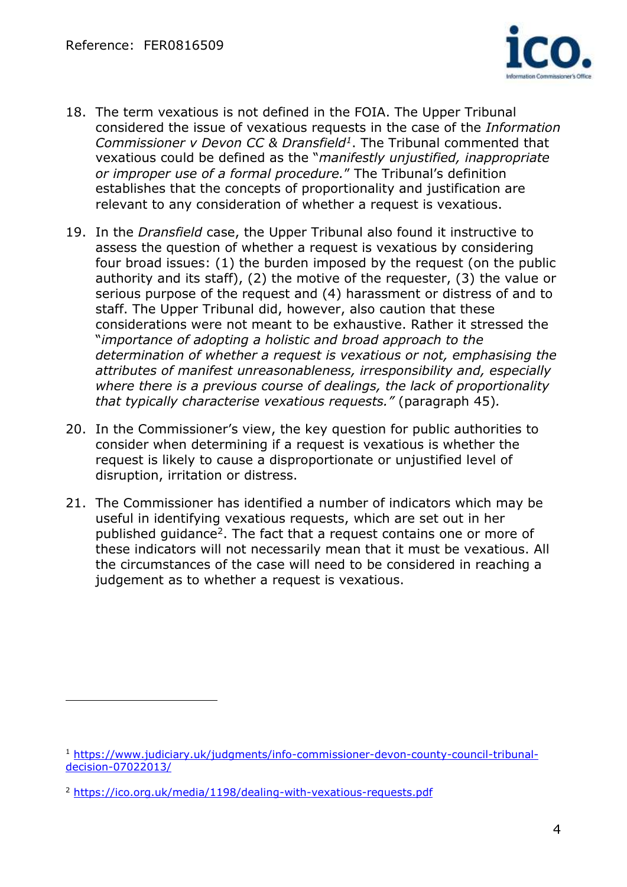

- 18. The term vexatious is not defined in the FOIA. The Upper Tribunal considered the issue of vexatious requests in the case of the *Information Commissioner v Devon CC & Dransfield<sup>1</sup>* . The Tribunal commented that vexatious could be defined as the "*manifestly unjustified, inappropriate or improper use of a formal procedure.*" The Tribunal's definition establishes that the concepts of proportionality and justification are relevant to any consideration of whether a request is vexatious.
- 19. In the *Dransfield* case, the Upper Tribunal also found it instructive to assess the question of whether a request is vexatious by considering four broad issues: (1) the burden imposed by the request (on the public authority and its staff), (2) the motive of the requester, (3) the value or serious purpose of the request and (4) harassment or distress of and to staff. The Upper Tribunal did, however, also caution that these considerations were not meant to be exhaustive. Rather it stressed the "*importance of adopting a holistic and broad approach to the determination of whether a request is vexatious or not, emphasising the attributes of manifest unreasonableness, irresponsibility and, especially where there is a previous course of dealings, the lack of proportionality that typically characterise vexatious requests."* (paragraph 45)*.*
- 20. In the Commissioner's view, the key question for public authorities to consider when determining if a request is vexatious is whether the request is likely to cause a disproportionate or unjustified level of disruption, irritation or distress.
- 21. The Commissioner has identified a number of indicators which may be useful in identifying vexatious requests, which are set out in her published guidance<sup>2</sup>. The fact that a request contains one or more of these indicators will not necessarily mean that it must be vexatious. All the circumstances of the case will need to be considered in reaching a judgement as to whether a request is vexatious.

 $\overline{a}$ 

<sup>1</sup> [https://www.judiciary.uk/judgments/info-commissioner-devon-county-council-tribunal](https://www.judiciary.uk/judgments/info-commissioner-devon-county-council-tribunal-decision-07022013/)[decision-07022013/](https://www.judiciary.uk/judgments/info-commissioner-devon-county-council-tribunal-decision-07022013/) 

<sup>2</sup> <https://ico.org.uk/media/1198/dealing-with-vexatious-requests.pdf>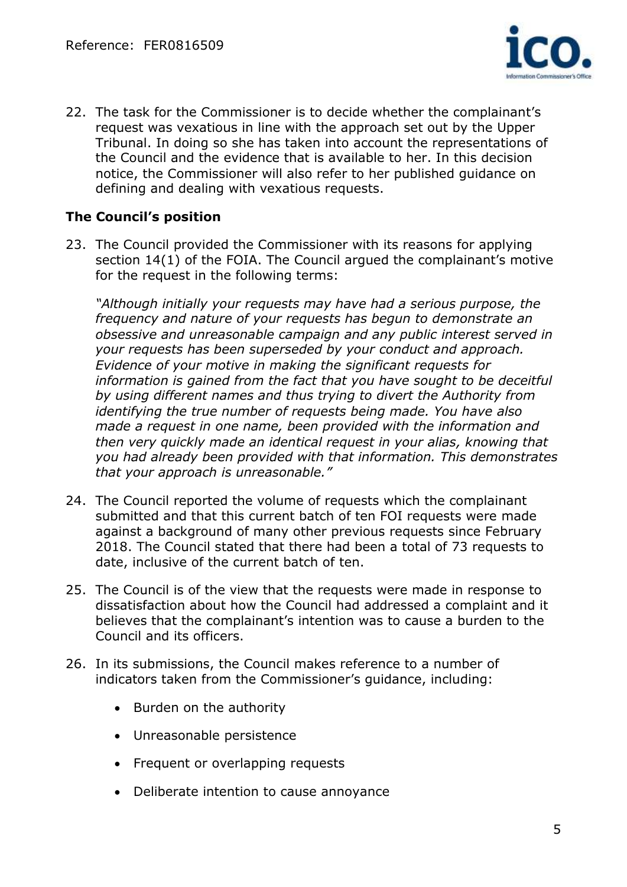

22. The task for the Commissioner is to decide whether the complainant's request was vexatious in line with the approach set out by the Upper Tribunal. In doing so she has taken into account the representations of the Council and the evidence that is available to her. In this decision notice, the Commissioner will also refer to her published guidance on defining and dealing with vexatious requests.

# **The Council's position**

23. The Council provided the Commissioner with its reasons for applying section 14(1) of the FOIA. The Council argued the complainant's motive for the request in the following terms:

*"Although initially your requests may have had a serious purpose, the frequency and nature of your requests has begun to demonstrate an obsessive and unreasonable campaign and any public interest served in your requests has been superseded by your conduct and approach. Evidence of your motive in making the significant requests for information is gained from the fact that you have sought to be deceitful by using different names and thus trying to divert the Authority from identifying the true number of requests being made. You have also made a request in one name, been provided with the information and then very quickly made an identical request in your alias, knowing that you had already been provided with that information. This demonstrates that your approach is unreasonable."*

- 24. The Council reported the volume of requests which the complainant submitted and that this current batch of ten FOI requests were made against a background of many other previous requests since February 2018. The Council stated that there had been a total of 73 requests to date, inclusive of the current batch of ten.
- 25. The Council is of the view that the requests were made in response to dissatisfaction about how the Council had addressed a complaint and it believes that the complainant's intention was to cause a burden to the Council and its officers.
- 26. In its submissions, the Council makes reference to a number of indicators taken from the Commissioner's guidance, including:
	- Burden on the authority
	- Unreasonable persistence
	- Frequent or overlapping requests
	- Deliberate intention to cause annoyance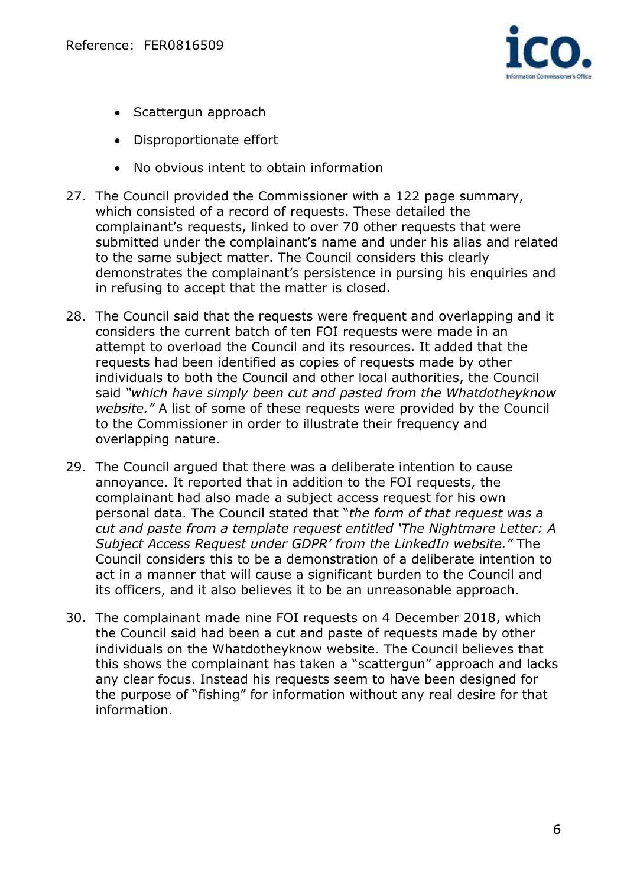

- Scattergun approach
- Disproportionate effort
- No obvious intent to obtain information
- 27. The Council provided the Commissioner with a 122 page summary, which consisted of a record of requests. These detailed the complainant's requests, linked to over 70 other requests that were submitted under the complainant's name and under his alias and related to the same subject matter. The Council considers this clearly demonstrates the complainant's persistence in pursing his enquiries and in refusing to accept that the matter is closed.
- 28. The Council said that the requests were frequent and overlapping and it considers the current batch of ten FOI requests were made in an attempt to overload the Council and its resources. It added that the requests had been identified as copies of requests made by other individuals to both the Council and other local authorities, the Council said *"which have simply been cut and pasted from the Whatdotheyknow website."* A list of some of these requests were provided by the Council to the Commissioner in order to illustrate their frequency and overlapping nature.
- 29. The Council argued that there was a deliberate intention to cause annoyance. It reported that in addition to the FOI requests, the complainant had also made a subject access request for his own personal data. The Council stated that "*the form of that request was a cut and paste from a template request entitled 'The Nightmare Letter: A Subject Access Request under GDPR' from the LinkedIn website."* The Council considers this to be a demonstration of a deliberate intention to act in a manner that will cause a significant burden to the Council and its officers, and it also believes it to be an unreasonable approach.
- 30. The complainant made nine FOI requests on 4 December 2018, which the Council said had been a cut and paste of requests made by other individuals on the Whatdotheyknow website. The Council believes that this shows the complainant has taken a "scattergun" approach and lacks any clear focus. Instead his requests seem to have been designed for the purpose of "fishing" for information without any real desire for that information.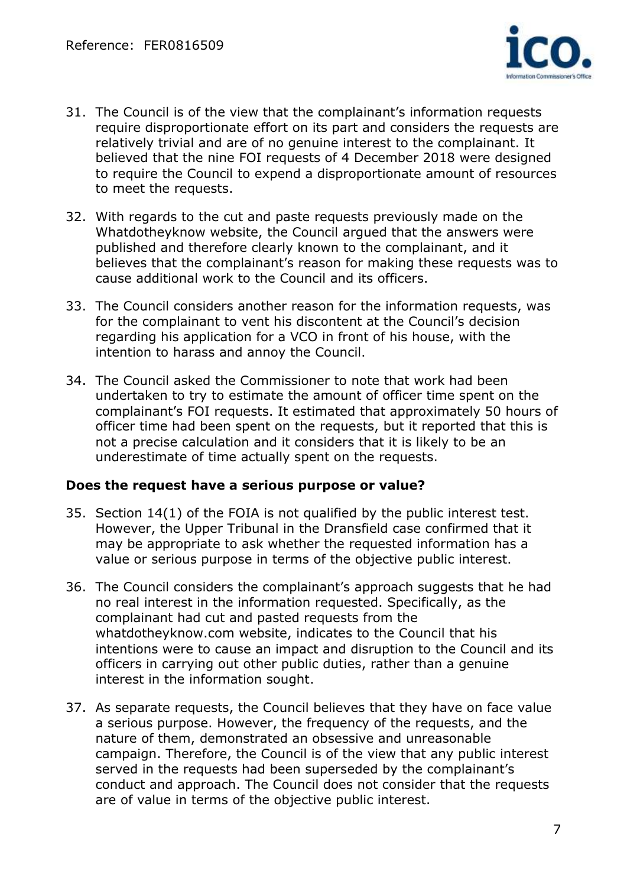

- 31. The Council is of the view that the complainant's information requests require disproportionate effort on its part and considers the requests are relatively trivial and are of no genuine interest to the complainant. It believed that the nine FOI requests of 4 December 2018 were designed to require the Council to expend a disproportionate amount of resources to meet the requests.
- 32. With regards to the cut and paste requests previously made on the Whatdotheyknow website, the Council argued that the answers were published and therefore clearly known to the complainant, and it believes that the complainant's reason for making these requests was to cause additional work to the Council and its officers.
- 33. The Council considers another reason for the information requests, was for the complainant to vent his discontent at the Council's decision regarding his application for a VCO in front of his house, with the intention to harass and annoy the Council.
- 34. The Council asked the Commissioner to note that work had been undertaken to try to estimate the amount of officer time spent on the complainant's FOI requests. It estimated that approximately 50 hours of officer time had been spent on the requests, but it reported that this is not a precise calculation and it considers that it is likely to be an underestimate of time actually spent on the requests.

#### **Does the request have a serious purpose or value?**

- 35. Section 14(1) of the FOIA is not qualified by the public interest test. However, the Upper Tribunal in the Dransfield case confirmed that it may be appropriate to ask whether the requested information has a value or serious purpose in terms of the objective public interest.
- 36. The Council considers the complainant's approach suggests that he had no real interest in the information requested. Specifically, as the complainant had cut and pasted requests from the whatdotheyknow.com website, indicates to the Council that his intentions were to cause an impact and disruption to the Council and its officers in carrying out other public duties, rather than a genuine interest in the information sought.
- 37. As separate requests, the Council believes that they have on face value a serious purpose. However, the frequency of the requests, and the nature of them, demonstrated an obsessive and unreasonable campaign. Therefore, the Council is of the view that any public interest served in the requests had been superseded by the complainant's conduct and approach. The Council does not consider that the requests are of value in terms of the objective public interest.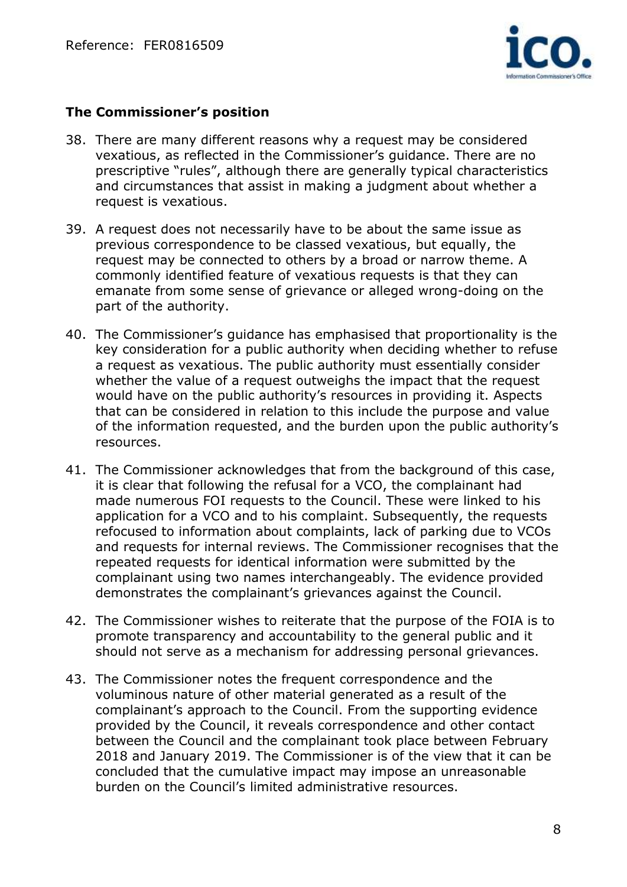

## **The Commissioner's position**

- 38. There are many different reasons why a request may be considered vexatious, as reflected in the Commissioner's guidance. There are no prescriptive "rules", although there are generally typical characteristics and circumstances that assist in making a judgment about whether a request is vexatious.
- 39. A request does not necessarily have to be about the same issue as previous correspondence to be classed vexatious, but equally, the request may be connected to others by a broad or narrow theme. A commonly identified feature of vexatious requests is that they can emanate from some sense of grievance or alleged wrong-doing on the part of the authority.
- 40. The Commissioner's guidance has emphasised that proportionality is the key consideration for a public authority when deciding whether to refuse a request as vexatious. The public authority must essentially consider whether the value of a request outweighs the impact that the request would have on the public authority's resources in providing it. Aspects that can be considered in relation to this include the purpose and value of the information requested, and the burden upon the public authority's resources.
- 41. The Commissioner acknowledges that from the background of this case, it is clear that following the refusal for a VCO, the complainant had made numerous FOI requests to the Council. These were linked to his application for a VCO and to his complaint. Subsequently, the requests refocused to information about complaints, lack of parking due to VCOs and requests for internal reviews. The Commissioner recognises that the repeated requests for identical information were submitted by the complainant using two names interchangeably. The evidence provided demonstrates the complainant's grievances against the Council.
- 42. The Commissioner wishes to reiterate that the purpose of the FOIA is to promote transparency and accountability to the general public and it should not serve as a mechanism for addressing personal grievances.
- 43. The Commissioner notes the frequent correspondence and the voluminous nature of other material generated as a result of the complainant's approach to the Council. From the supporting evidence provided by the Council, it reveals correspondence and other contact between the Council and the complainant took place between February 2018 and January 2019. The Commissioner is of the view that it can be concluded that the cumulative impact may impose an unreasonable burden on the Council's limited administrative resources.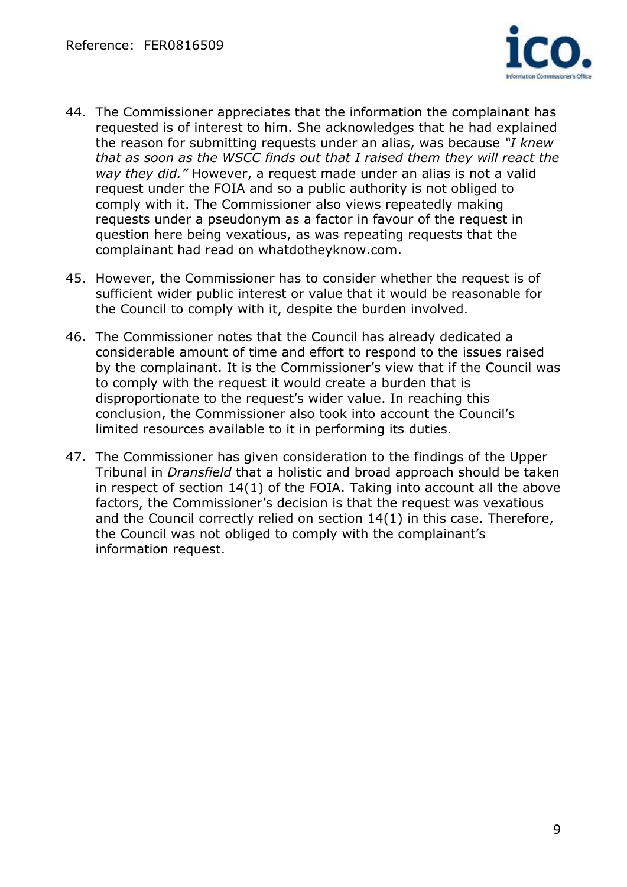

- 44. The Commissioner appreciates that the information the complainant has requested is of interest to him. She acknowledges that he had explained the reason for submitting requests under an alias, was because *"I knew that as soon as the WSCC finds out that I raised them they will react the way they did."* However, a request made under an alias is not a valid request under the FOIA and so a public authority is not obliged to comply with it. The Commissioner also views repeatedly making requests under a pseudonym as a factor in favour of the request in question here being vexatious, as was repeating requests that the complainant had read on whatdotheyknow.com.
- 45. However, the Commissioner has to consider whether the request is of sufficient wider public interest or value that it would be reasonable for the Council to comply with it, despite the burden involved.
- 46. The Commissioner notes that the Council has already dedicated a considerable amount of time and effort to respond to the issues raised by the complainant. It is the Commissioner's view that if the Council was to comply with the request it would create a burden that is disproportionate to the request's wider value. In reaching this conclusion, the Commissioner also took into account the Council's limited resources available to it in performing its duties.
- 47. The Commissioner has given consideration to the findings of the Upper Tribunal in *Dransfield* that a holistic and broad approach should be taken in respect of section 14(1) of the FOIA. Taking into account all the above factors, the Commissioner's decision is that the request was vexatious and the Council correctly relied on section 14(1) in this case. Therefore, the Council was not obliged to comply with the complainant's information request.